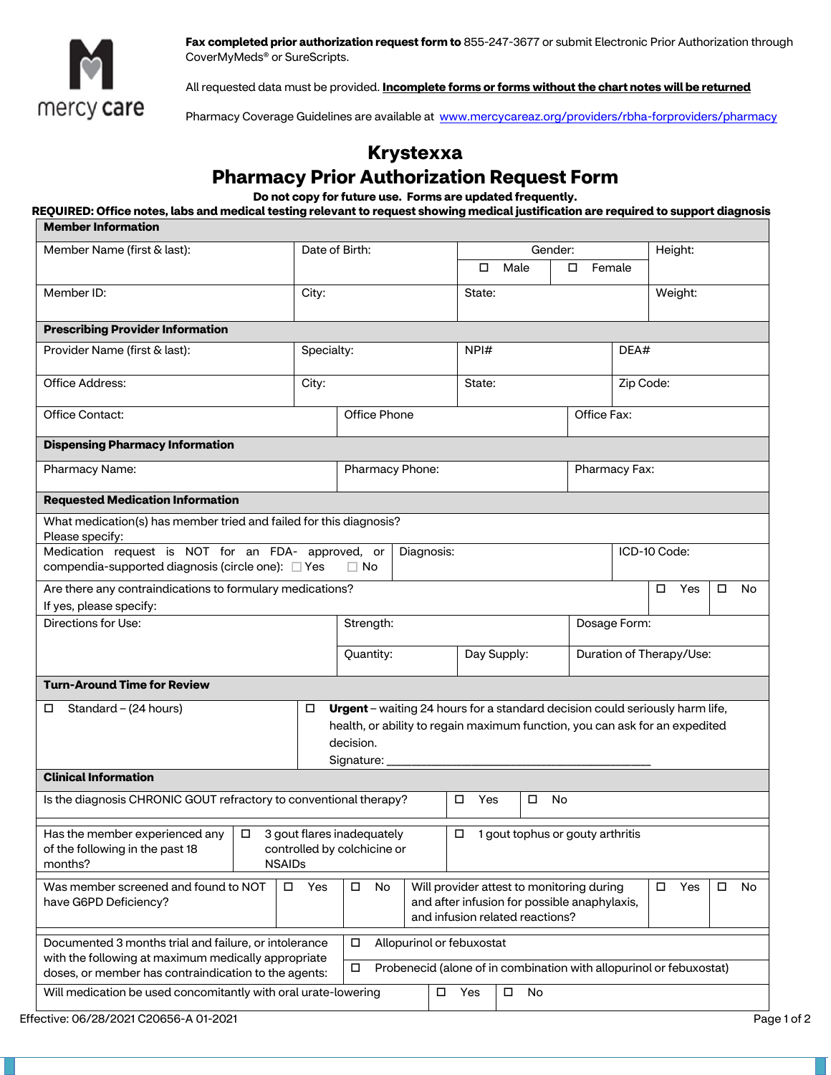

**Fax completed prior authorization request form to** 855-247-3677 or submit Electronic Prior Authorization through CoverMyMeds® or SureScripts.

All requested data must be provided. **Incomplete forms or forms without the chart notes will be returned** 

Pharmacy Coverage Guidelines are available at www.mercycareaz.org/providers/rbha-forproviders/pharmacy

## **Krystexxa**

## **Pharmacy Prior Authorization Request Form**

**Do not copy for future use. Forms are updated frequently.** 

## **REQUIRED: Office notes, labs and medical testing relevant to request showing medical justification are required to support diagnosis Member Information**

| Member Name (first & last):                                                                                                                                          |               | Date of Birth:                                                                                                                                                                                   |                                                                           |                                                                                                                                    | О.                        | Gender:<br>Male |              |                          | Height:<br>Female |                                                                     |        |    |
|----------------------------------------------------------------------------------------------------------------------------------------------------------------------|---------------|--------------------------------------------------------------------------------------------------------------------------------------------------------------------------------------------------|---------------------------------------------------------------------------|------------------------------------------------------------------------------------------------------------------------------------|---------------------------|-----------------|--------------|--------------------------|-------------------|---------------------------------------------------------------------|--------|----|
|                                                                                                                                                                      |               |                                                                                                                                                                                                  |                                                                           |                                                                                                                                    |                           |                 |              |                          |                   |                                                                     |        |    |
| Member ID:                                                                                                                                                           |               | City:                                                                                                                                                                                            |                                                                           |                                                                                                                                    |                           | State:          |              |                          |                   | Weight:                                                             |        |    |
| <b>Prescribing Provider Information</b>                                                                                                                              |               |                                                                                                                                                                                                  |                                                                           |                                                                                                                                    |                           |                 |              |                          |                   |                                                                     |        |    |
| Provider Name (first & last):                                                                                                                                        |               | Specialty:                                                                                                                                                                                       |                                                                           |                                                                                                                                    | NPI#                      |                 |              |                          | DEA#              |                                                                     |        |    |
| Office Address:                                                                                                                                                      |               | City:                                                                                                                                                                                            |                                                                           |                                                                                                                                    | State:                    |                 |              | Zip Code:                |                   |                                                                     |        |    |
| Office Contact:                                                                                                                                                      |               |                                                                                                                                                                                                  |                                                                           |                                                                                                                                    |                           | Office Fax:     |              |                          |                   |                                                                     |        |    |
| <b>Dispensing Pharmacy Information</b>                                                                                                                               |               |                                                                                                                                                                                                  |                                                                           |                                                                                                                                    |                           |                 |              |                          |                   |                                                                     |        |    |
| Pharmacy Name:                                                                                                                                                       |               | Pharmacy Phone:                                                                                                                                                                                  |                                                                           |                                                                                                                                    |                           |                 |              | Pharmacy Fax:            |                   |                                                                     |        |    |
| <b>Requested Medication Information</b>                                                                                                                              |               |                                                                                                                                                                                                  |                                                                           |                                                                                                                                    |                           |                 |              |                          |                   |                                                                     |        |    |
| What medication(s) has member tried and failed for this diagnosis?<br>Please specify:                                                                                |               |                                                                                                                                                                                                  |                                                                           |                                                                                                                                    |                           |                 |              |                          |                   |                                                                     |        |    |
| Medication request is NOT for an FDA- approved, or<br>compendia-supported diagnosis (circle one): □ Yes                                                              |               | $\Box$ No                                                                                                                                                                                        | Diagnosis:                                                                |                                                                                                                                    |                           |                 | ICD-10 Code: |                          |                   |                                                                     |        |    |
| Are there any contraindications to formulary medications?<br>If yes, please specify:                                                                                 |               |                                                                                                                                                                                                  |                                                                           |                                                                                                                                    |                           |                 |              |                          |                   | Yes<br>$\Box$                                                       | $\Box$ | No |
| Directions for Use:                                                                                                                                                  |               | Strength:                                                                                                                                                                                        |                                                                           | Dosage Form:                                                                                                                       |                           |                 |              |                          |                   |                                                                     |        |    |
|                                                                                                                                                                      |               |                                                                                                                                                                                                  | Quantity:                                                                 | Day Supply:                                                                                                                        |                           |                 |              | Duration of Therapy/Use: |                   |                                                                     |        |    |
| <b>Turn-Around Time for Review</b>                                                                                                                                   |               |                                                                                                                                                                                                  |                                                                           |                                                                                                                                    |                           |                 |              |                          |                   |                                                                     |        |    |
| Standard – (24 hours)<br>0                                                                                                                                           |               | Urgent - waiting 24 hours for a standard decision could seriously harm life,<br>health, or ability to regain maximum function, you can ask for an expedited<br>decision.<br>Signature: _________ |                                                                           |                                                                                                                                    |                           |                 |              |                          |                   |                                                                     |        |    |
| <b>Clinical Information</b>                                                                                                                                          |               |                                                                                                                                                                                                  |                                                                           |                                                                                                                                    |                           |                 |              |                          |                   |                                                                     |        |    |
| Is the diagnosis CHRONIC GOUT refractory to conventional therapy?                                                                                                    |               |                                                                                                                                                                                                  |                                                                           |                                                                                                                                    | $\Box$<br>Yes             | $\Box$          | No           |                          |                   |                                                                     |        |    |
| Has the member experienced any $  \Box$ 3 gout flares inadequately<br>of the following in the past 18<br>months?                                                     | <b>NSAIDs</b> |                                                                                                                                                                                                  | 1 gout tophus or gouty arthritis<br>$\Box$<br>controlled by colchicine or |                                                                                                                                    |                           |                 |              |                          |                   |                                                                     |        |    |
| Was member screened and found to NOT<br>have G6PD Deficiency?                                                                                                        | Yes<br>□      |                                                                                                                                                                                                  |                                                                           | Will provider attest to monitoring during<br>No<br>and after infusion for possible anaphylaxis,<br>and infusion related reactions? |                           |                 |              |                          | Yes<br>□          | 0                                                                   | No     |    |
| Documented 3 months trial and failure, or intolerance<br>with the following at maximum medically appropriate<br>doses, or member has contraindication to the agents: |               |                                                                                                                                                                                                  | □<br>□                                                                    |                                                                                                                                    | Allopurinol or febuxostat |                 |              |                          |                   | Probenecid (alone of in combination with allopurinol or febuxostat) |        |    |
| Will medication be used concomitantly with oral urate-lowering                                                                                                       |               | Yes<br>$\Box$<br>No<br>$\Box$                                                                                                                                                                    |                                                                           |                                                                                                                                    |                           |                 |              |                          |                   |                                                                     |        |    |
|                                                                                                                                                                      |               |                                                                                                                                                                                                  |                                                                           |                                                                                                                                    |                           |                 |              |                          |                   |                                                                     |        |    |